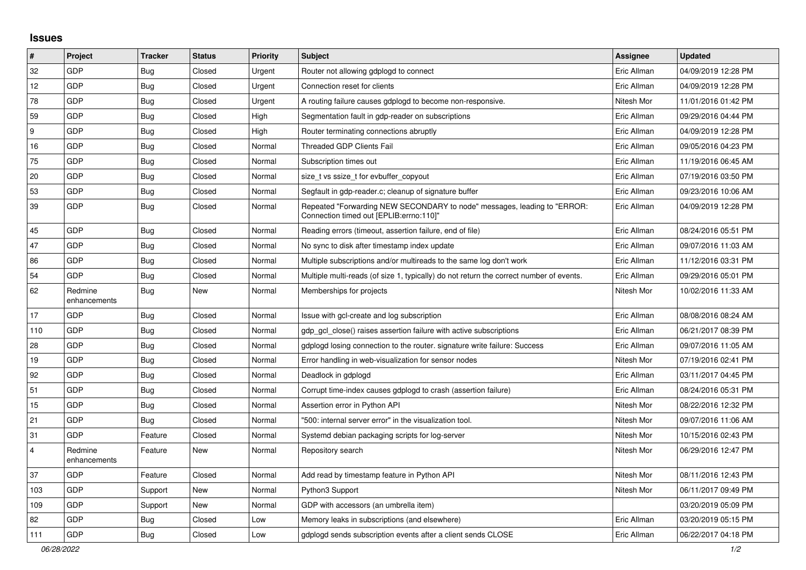## **Issues**

| $\pmb{\#}$     | Project                 | <b>Tracker</b> | <b>Status</b> | <b>Priority</b> | <b>Subject</b>                                                                                                      | <b>Assignee</b> | <b>Updated</b>      |
|----------------|-------------------------|----------------|---------------|-----------------|---------------------------------------------------------------------------------------------------------------------|-----------------|---------------------|
| 32             | GDP                     | Bug            | Closed        | Urgent          | Router not allowing gdplogd to connect                                                                              | Eric Allman     | 04/09/2019 12:28 PM |
| 12             | GDP                     | Bug            | Closed        | Urgent          | Connection reset for clients                                                                                        | Eric Allman     | 04/09/2019 12:28 PM |
| 78             | GDP                     | Bug            | Closed        | Urgent          | A routing failure causes gdplogd to become non-responsive.                                                          | Nitesh Mor      | 11/01/2016 01:42 PM |
| 59             | GDP                     | <b>Bug</b>     | Closed        | High            | Segmentation fault in gdp-reader on subscriptions                                                                   | Eric Allman     | 09/29/2016 04:44 PM |
| 9              | GDP                     | Bug            | Closed        | High            | Router terminating connections abruptly                                                                             | Eric Allman     | 04/09/2019 12:28 PM |
| 16             | GDP                     | <b>Bug</b>     | Closed        | Normal          | <b>Threaded GDP Clients Fail</b>                                                                                    | Eric Allman     | 09/05/2016 04:23 PM |
| 75             | GDP                     | Bug            | Closed        | Normal          | Subscription times out                                                                                              | Eric Allman     | 11/19/2016 06:45 AM |
| 20             | GDP                     | <b>Bug</b>     | Closed        | Normal          | size t vs ssize t for evbuffer copyout                                                                              | Eric Allman     | 07/19/2016 03:50 PM |
| 53             | GDP                     | Bug            | Closed        | Normal          | Segfault in gdp-reader.c; cleanup of signature buffer                                                               | Eric Allman     | 09/23/2016 10:06 AM |
| 39             | GDP                     | <b>Bug</b>     | Closed        | Normal          | Repeated "Forwarding NEW SECONDARY to node" messages, leading to "ERROR:<br>Connection timed out [EPLIB:errno:110]" | Eric Allman     | 04/09/2019 12:28 PM |
| 45             | GDP                     | <b>Bug</b>     | Closed        | Normal          | Reading errors (timeout, assertion failure, end of file)                                                            | Eric Allman     | 08/24/2016 05:51 PM |
| 47             | GDP                     | Bug            | Closed        | Normal          | No sync to disk after timestamp index update                                                                        | Eric Allman     | 09/07/2016 11:03 AM |
| 86             | <b>GDP</b>              | <b>Bug</b>     | Closed        | Normal          | Multiple subscriptions and/or multireads to the same log don't work                                                 | Eric Allman     | 11/12/2016 03:31 PM |
| 54             | <b>GDP</b>              | Bug            | Closed        | Normal          | Multiple multi-reads (of size 1, typically) do not return the correct number of events.                             | Eric Allman     | 09/29/2016 05:01 PM |
| 62             | Redmine<br>enhancements | Bug            | New           | Normal          | Memberships for projects                                                                                            | Nitesh Mor      | 10/02/2016 11:33 AM |
| 17             | GDP                     | <b>Bug</b>     | Closed        | Normal          | Issue with gcl-create and log subscription                                                                          | Eric Allman     | 08/08/2016 08:24 AM |
| 110            | GDP                     | Bug            | Closed        | Normal          | gdp gcl close() raises assertion failure with active subscriptions                                                  | Eric Allman     | 06/21/2017 08:39 PM |
| 28             | GDP                     | <b>Bug</b>     | Closed        | Normal          | gdplogd losing connection to the router. signature write failure: Success                                           | Eric Allman     | 09/07/2016 11:05 AM |
| 19             | <b>GDP</b>              | Bug            | Closed        | Normal          | Error handling in web-visualization for sensor nodes                                                                | Nitesh Mor      | 07/19/2016 02:41 PM |
| 92             | GDP                     | <b>Bug</b>     | Closed        | Normal          | Deadlock in gdplogd                                                                                                 | Eric Allman     | 03/11/2017 04:45 PM |
| 51             | <b>GDP</b>              | Bug            | Closed        | Normal          | Corrupt time-index causes gdplogd to crash (assertion failure)                                                      | Eric Allman     | 08/24/2016 05:31 PM |
| 15             | GDP                     | Bug            | Closed        | Normal          | Assertion error in Python API                                                                                       | Nitesh Mor      | 08/22/2016 12:32 PM |
| 21             | GDP                     | Bug            | Closed        | Normal          | '500: internal server error" in the visualization tool.                                                             | Nitesh Mor      | 09/07/2016 11:06 AM |
| 31             | GDP                     | Feature        | Closed        | Normal          | Systemd debian packaging scripts for log-server                                                                     | Nitesh Mor      | 10/15/2016 02:43 PM |
| $\overline{4}$ | Redmine<br>enhancements | Feature        | New           | Normal          | Repository search                                                                                                   | Nitesh Mor      | 06/29/2016 12:47 PM |
| 37             | <b>GDP</b>              | Feature        | Closed        | Normal          | Add read by timestamp feature in Python API                                                                         | Nitesh Mor      | 08/11/2016 12:43 PM |
| 103            | GDP                     | Support        | <b>New</b>    | Normal          | Python3 Support                                                                                                     | Nitesh Mor      | 06/11/2017 09:49 PM |
| 109            | <b>GDP</b>              | Support        | New           | Normal          | GDP with accessors (an umbrella item)                                                                               |                 | 03/20/2019 05:09 PM |
| 82             | GDP                     | <b>Bug</b>     | Closed        | Low             | Memory leaks in subscriptions (and elsewhere)                                                                       | Eric Allman     | 03/20/2019 05:15 PM |
| 111            | GDP                     | Bug            | Closed        | Low             | gdplogd sends subscription events after a client sends CLOSE                                                        | Eric Allman     | 06/22/2017 04:18 PM |